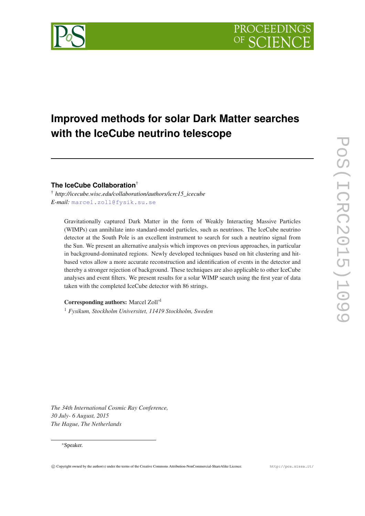# **Improved methods for solar Dark Matter searches with the IceCube neutrino telescope**

**The IceCube Collaboration**†

† *http://icecube.wisc.edu/collaboration/authors/icrc15\_icecube E-mail:* [marcel.zoll@fysik.su.se](mailto:marcel.zoll@fysik.su.se)

Gravitationally captured Dark Matter in the form of Weakly Interacting Massive Particles (WIMPs) can annihilate into standard-model particles, such as neutrinos. The IceCube neutrino detector at the South Pole is an excellent instrument to search for such a neutrino signal from the Sun. We present an alternative analysis which improves on previous approaches, in particular in background-dominated regions. Newly developed techniques based on hit clustering and hitbased vetos allow a more accurate reconstruction and identification of events in the detector and thereby a stronger rejection of background. These techniques are also applicable to other IceCube analyses and event filters. We present results for a solar WIMP search using the first year of data taken with the completed IceCube detector with 86 strings.

Corresponding authors: Marcel Zoll∗<sup>1</sup>

<sup>1</sup> *Fysikum, Stockholm Universitet, 11419 Stockholm, Sweden*

*The 34th International Cosmic Ray Conference, 30 July- 6 August, 2015 The Hague, The Netherlands*

#### <sup>∗</sup>Speaker.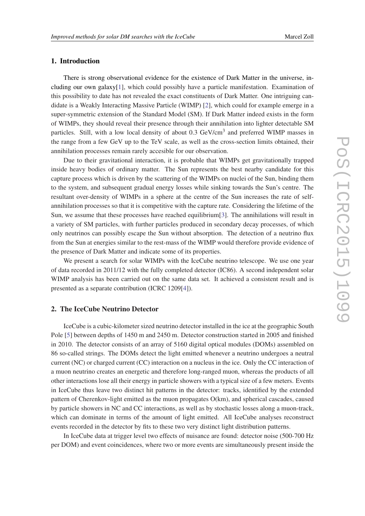# 1. Introduction

There is strong observational evidence for the existence of Dark Matter in the universe, including our own galaxy[[1](#page-6-0)], which could possibly have a particle manifestation. Examination of this possibility to date has not revealed the exact constituents of Dark Matter. One intriguing candidate is a Weakly Interacting Massive Particle (WIMP) [[2](#page-6-0)], which could for example emerge in a super-symmetric extension of the Standard Model (SM). If Dark Matter indeed exists in the form of WIMPs, they should reveal their presence through their annihilation into lighter detectable SM particles. Still, with a low local density of about 0.3 GeV/cm<sup>3</sup> and preferred WIMP masses in the range from a few GeV up to the TeV scale, as well as the cross-section limits obtained, their annihilation processes remain rarely accesible for our observation.

Due to their gravitational interaction, it is probable that WIMPs get gravitationally trapped inside heavy bodies of ordinary matter. The Sun represents the best nearby candidate for this capture process which is driven by the scattering of the WIMPs on nuclei of the Sun, binding them to the system, and subsequent gradual energy losses while sinking towards the Sun's centre. The resultant over-density of WIMPs in a sphere at the centre of the Sun increases the rate of selfannihilation processes so that it is competitive with the capture rate. Considering the lifetime of the Sun, we assume that these processes have reached equilibrium[\[3](#page-6-0)]. The annihilations will result in a variety of SM particles, with further particles produced in secondary decay processes, of which only neutrinos can possibly escape the Sun without absorption. The detection of a neutrino flux from the Sun at energies similar to the rest-mass of the WIMP would therefore provide evidence of the presence of Dark Matter and indicate some of its properties.

We present a search for solar WIMPs with the IceCube neutrino telescope. We use one year of data recorded in 2011/12 with the fully completed detector (IC86). A second independent solar WIMP analysis has been carried out on the same data set. It achieved a consistent result and is presented as a separate contribution (ICRC 1209[[4](#page-7-0)]).

#### 2. The IceCube Neutrino Detector

IceCube is a cubic-kilometer sized neutrino detector installed in the ice at the geographic South Pole [[5](#page-7-0)] between depths of 1450 m and 2450 m. Detector construction started in 2005 and finished in 2010. The detector consists of an array of 5160 digital optical modules (DOMs) assembled on 86 so-called strings. The DOMs detect the light emitted whenever a neutrino undergoes a neutral current (NC) or charged current (CC) interaction on a nucleus in the ice. Only the CC interaction of a muon neutrino creates an energetic and therefore long-ranged muon, whereas the products of all other interactions lose all their energy in particle showers with a typical size of a few meters. Events in IceCube thus leave two distinct hit patterns in the detector: tracks, identified by the extended pattern of Cherenkov-light emitted as the muon propagates O(km), and spherical cascades, caused by particle showers in NC and CC interactions, as well as by stochastic losses along a muon-track, which can dominate in terms of the amount of light emitted. All IceCube analyses reconstruct events recorded in the detector by fits to these two very distinct light distribution patterns.

In IceCube data at trigger level two effects of nuisance are found: detector noise (500-700 Hz per DOM) and event coincidences, where two or more events are simultaneously present inside the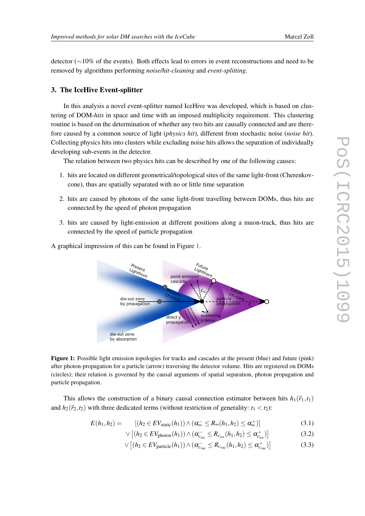detector (∼10% of the events). Both effects lead to errors in event reconstructions and need to be removed by algorithms performing *noise/hit-cleaning* and *event-splitting*.

# 3. The IceHive Event-splitter

In this analysis a novel event-splitter named IceHive was developed, which is based on clustering of DOM-*hits* in space and time with an imposed multiplicity requirement. This clustering routine is based on the determination of whether any two hits are causally connected and are therefore caused by a common source of light (*physics hit*), different from stochastic noise (*noise hit*). Collecting physics hits into clusters while excluding noise hits allows the separation of individually developing sub-events in the detector.

The relation between two physics hits can be described by one of the following causes:

- 1. hits are located on different geometrical/topological sites of the same light-front (Cherenkovcone), thus are spatially separated with no or little time separation
- 2. hits are caused by photons of the same light-front travelling between DOMs, thus hits are connected by the speed of photon propagation
- 3. hits are caused by light-emission at different positions along a muon-track, thus hits are connected by the speed of particle propagation



A graphical impression of this can be found in Figure 1.

Figure 1: Possible light emission topologies for tracks and cascades at the present (blue) and future (pink) after photon-propagation for a particle (arrow) traversing the detector volume. Hits are registered on DOMs (circles); their relation is governed by the causal arguments of spatial separation, photon propagation and particle propagation.

This allows the construction of a binary causal connection estimator between hits  $h_1(\vec{r}_1,t_1)$ and  $h_2(\vec{r}_2,t_2)$  with three dedicated terms (without restriction of generality:  $t_1 < t_2$ ):

$$
E(h_1, h_2) = \left[ (h_2 \in EV_{\text{static}}(h_1)) \wedge (\alpha_{\infty}^- \le R_{\infty}(h_1, h_2) \le \alpha_{\infty}^+) \right]
$$
(3.1)

$$
\vee \left[ (h_2 \in EV_{\text{photon}}(h_1)) \wedge (\alpha_{c_{\text{ice}}}^- \leq R_{c_{\text{ice}}}(h_1, h_2) \leq \alpha_{c_{\text{ice}}}^+) \right]
$$
(3.2)

$$
\vee \left[ (h_2 \in EV_{\text{particle}}(h_1)) \wedge (\alpha_{c_{\text{vac}}}^- \leq R_{c_{\text{vac}}}(h_1, h_2) \leq \alpha_{c_{\text{vac}}}^+) \right]
$$
(3.3)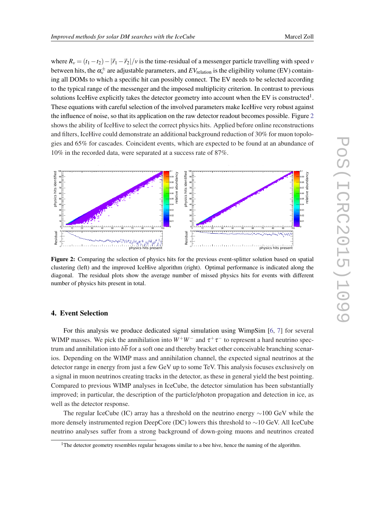where  $R_v = (t_1 - t_2) - |\vec{r}_1 - \vec{r}_2|/v$  is the time-residual of a messenger particle travelling with speed *v* between hits, the  $\alpha_{\nu}^{\pm}$  are adjustable parameters, and  $EV_{\rm relation}$  is the eligibility volume (EV) containing all DOMs to which a specific hit can possibly connect. The EV needs to be selected according to the typical range of the messenger and the imposed multiplicity criterion. In contrast to previous solutions IceHive explicitly takes the detector geometry into account when the EV is constructed<sup>1</sup>. These equations with careful selection of the involved parameters make IceHive very robust against the influence of noise, so that its application on the raw detector readout becomes possible. Figure 2 shows the ability of IceHive to select the correct physics hits. Applied before online reconstructions and filters, IceHive could demonstrate an additional background reduction of 30% for muon topologies and 65% for cascades. Coincident events, which are expected to be found at an abundance of 10% in the recorded data, were separated at a success rate of 87%.



Figure 2: Comparing the selection of physics hits for the previous event-splitter solution based on spatial clustering (left) and the improved IceHive algorithm (right). Optimal performance is indicated along the diagonal. The residual plots show the average number of missed physics hits for events with different number of physics hits present in total.

# 4. Event Selection

For this analysis we produce dedicated signal simulation using WimpSim [\[6,](#page-7-0) [7\]](#page-7-0) for several WIMP masses. We pick the annihilation into  $W^+W^-$  and  $\tau^+\tau^-$  to represent a hard neutrino spectrum and annihilation into  $b\overline{b}$  for a soft one and thereby bracket other conceivable branching scenarios. Depending on the WIMP mass and annihilation channel, the expected signal neutrinos at the detector range in energy from just a few GeV up to some TeV. This analysis focuses exclusively on a signal in muon neutrinos creating tracks in the detector, as these in general yield the best pointing. Compared to previous WIMP analyses in IceCube, the detector simulation has been substantially improved; in particular, the description of the particle/photon propagation and detection in ice, as well as the detector response.

The regular IceCube (IC) array has a threshold on the neutrino energy  $\sim$ 100 GeV while the more densely instrumented region DeepCore (DC) lowers this threshold to ∼10 GeV. All IceCube neutrino analyses suffer from a strong background of down-going muons and neutrinos created

<sup>&</sup>lt;sup>1</sup>The detector geometry resembles regular hexagons similar to a bee hive, hence the naming of the algorithm.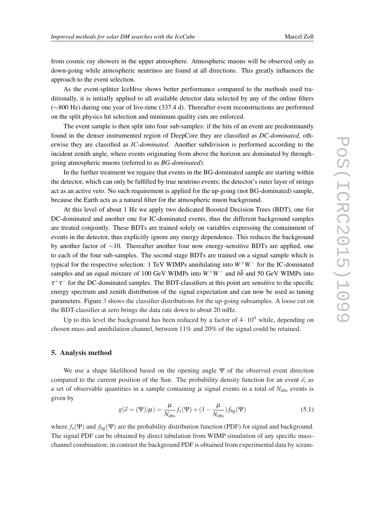from cosmic ray showers in the upper atmosphere. Atmospheric muons will be observed only as down-going while atmospheric neutrinos are found at all directions. This greatly influences the approach to the event selection.

As the event-splitter IceHive shows better performance compared to the methods used traditionally, it is initially applied to all available detector data selected by any of the online filters (∼800 Hz) during one year of live-time (337.4 d). Thereafter event reconstructions are performed on the split physics hit selection and minimum quality cuts are enforced.

The event sample is then split into four sub-samples: if the hits of an event are predominantly found in the denser instrumented region of DeepCore they are classified as *DC-dominated*, otherwise they are classified as *IC-dominated*. Another subdivision is performed according to the incident zenith angle, where events originating from above the horizon are dominated by throughgoing atmospheric muons (referred to as *BG-dominated*).

In the further treatment we require that events in the BG-dominated sample are starting within the detector, which can only be fulfilled by true neutrino events; the detector's outer layer of strings act as an active veto. No such requirement is applied for the up-going (not BG-dominated) sample, because the Earth acts as a natural filter for the atmospheric muon background.

At this level of about 1 Hz we apply two dedicated Boosted Decision Trees (BDT), one for DC-dominated and another one for IC-dominated events, thus the different background samples are treated conjointly. These BDTs are trained solely on variables expressing the containment of events in the detector, thus explicitly ignore any energy dependence. This reduces the background by another factor of ∼10. Thereafter another four now energy-sensitive BDTs are applied, one to each of the four sub-samples. The second stage BDTs are trained on a signal sample which is typical for the respective selection: 1 TeV WIMPs annihilating into *W*+*W*<sup>−</sup> for the IC-dominated samples and an equal mixture of 100 GeV WIMPs into  $W^+W^-$  and  $b\overline{b}$  and 50 GeV WIMPs into  $\tau^+\tau^-$  for the DC-dominated samples. The BDT-classifiers at this point are sensitive to the specific energy spectrum and zenith distribution of the signal expectation and can now be used as tuning parameters. Figure [3](#page-5-0) shows the classifier distributions for the up-going subsamples. A loose cut on the BDT-classifier at zero brings the data rate down to about 20 mHz.

Up to this level the background has been reduced by a factor of  $4 \cdot 10^4$  while, depending on chosen mass and annihilation channel, between 11% and 20% of the signal could be retained.

### 5. Analysis method

We use a shape likelihood based on the opening angle  $\Psi$  of the observed event direction compared to the current position of the Sun. The probability density function for an event  $\vec{e}_i$  as a set of observable quantities in a sample containing  $\mu$  signal events in a total of  $N_{\text{obs}}$  events is given by

$$
g(\vec{e} = (\Psi)|\mu) = \frac{\mu}{N_{\text{obs}}} f_{\text{s}}(\Psi) + (1 - \frac{\mu}{N_{\text{obs}}}) f_{\text{bg}}(\Psi)
$$
(5.1)

where  $f_s(\Psi)$  and  $f_{bg}(\Psi)$  are the probability distribution function (PDF) for signal and background. The signal PDF can be obtained by direct tabulation from WIMP simulation of any specific masschannel combination; in contrast the background PDF is obtained from experimental data by scram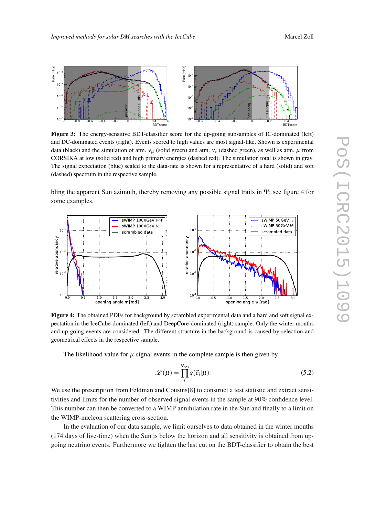−1 −0.8 −0.6 −0.4 −0.2 0 0.2 0.4 0.6

Rate [mHz]

Rate [mHz]

<sup>−</sup><sup>7</sup> 10  $10<sup>10</sup>$ <sup>−</sup><sup>5</sup> 10 <sup>−</sup><sup>4</sup> 10 <sup>−</sup><sup>3</sup> 10

<span id="page-5-0"></span>

<sup>−</sup><sup>7</sup> 10

Figure 3: The energy-sensitive BDT-classifier score for the up-going subsamples of IC-dominated (left) and DC-dominated events (right). Events scored to high values are most signal-like. Shown is experimental data (black) and the simulation of atm.  $v_\mu$  (solid green) and atm.  $v_e$  (dashed green), as well as atm.  $\mu$  from CORSIKA at low (solid red) and high primary energies (dashed red). The simulation total is shown in gray. The signal expectation (blue) scaled to the data-rate is shown for a representative of a hard (solid) and soft (dashed) spectrum in the respective sample.

**BDTscore** 

bling the apparent Sun azimuth, thereby removing any possible signal traits in  $\Psi$ ; see figure 4 for some examples.



Figure 4: The obtained PDFs for background by scrambled experimental data and a hard and soft signal expectation in the IceCube-dominated (left) and DeepCore-dominated (right) sample. Only the winter months and up-going events are considered. The different structure in the background is caused by selection and geometrical effects in the respective sample.

The likelihood value for  $\mu$  signal events in the complete sample is then given by

$$
\mathscr{L}(\mu) = \prod_{i}^{N_{\text{obs}}} g(\vec{e}_i | \mu)
$$
\n(5.2)

We use the prescription from Feldman and Cousins [[8](#page-7-0)] to construct a test statistic and extract sensitivities and limits for the number of observed signal events in the sample at 90% confidence level. This number can then be converted to a WIMP annihilation rate in the Sun and finally to a limit on the WIMP-nucleon scattering cross-section.

In the evaluation of our data sample, we limit ourselves to data obtained in the winter months (174 days of live-time) when the Sun is below the horizon and all sensitivity is obtained from upgoing neutrino events. Furthermore we tighten the last cut on the BDT-classifier to obtain the best

BDTscore

−0.6 −0.4 −0.2 0 0.2 0.4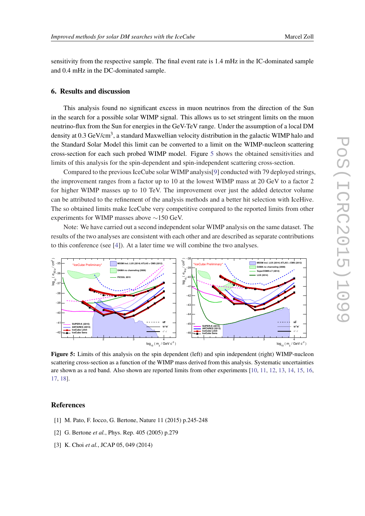<span id="page-6-0"></span>sensitivity from the respective sample. The final event rate is 1.4 mHz in the IC-dominated sample and 0.4 mHz in the DC-dominated sample.

#### 6. Results and discussion

This analysis found no significant excess in muon neutrinos from the direction of the Sun in the search for a possible solar WIMP signal. This allows us to set stringent limits on the muon neutrino-flux from the Sun for energies in the GeV-TeV range. Under the assumption of a local DM density at 0.3 GeV/cm<sup>3</sup>, a standard Maxwellian velocity distribution in the galactic WIMP halo and the Standard Solar Model this limit can be converted to a limit on the WIMP-nucleon scattering cross-section for each such probed WIMP model. Figure 5 shows the obtained sensitivities and limits of this analysis for the spin-dependent and spin-independent scattering cross-section.

Compared to the previous IceCube solar WIMP analysis[[9](#page-7-0)] conducted with 79 deployed strings, the improvement ranges from a factor up to 10 at the lowest WIMP mass at 20 GeV to a factor 2 for higher WIMP masses up to 10 TeV. The improvement over just the added detector volume can be attributed to the refinement of the analysis methods and a better hit selection with IceHive. The so obtained limits make IceCube very competitive compared to the reported limits from other experiments for WIMP masses above ∼150 GeV.

Note: We have carried out a second independent solar WIMP analysis on the same dataset. The results of the two analyses are consistent with each other and are described as separate contributions to this conference (see [[4\]](#page-7-0)). At a later time we will combine the two analyses.



Figure 5: Limits of this analysis on the spin dependent (left) and spin independent (right) WIMP-nucleon scattering cross-section as a function of the WIMP mass derived from this analysis. Systematic uncertainties are shown as a red band. Also shown are reported limits from other experiments [\[10](#page-7-0), [11](#page-7-0), [12](#page-7-0), [13](#page-7-0), [14](#page-7-0), [15](#page-7-0), [16](#page-7-0), [17](#page-7-0), [18](#page-7-0)].

# **References**

- [1] M. Pato, F. Iocco, G. Bertone, Nature 11 (2015) p.245-248
- [2] G. Bertone *et al.*, Phys. Rep. 405 (2005) p.279
- [3] K. Choi *et al.*, JCAP 05, 049 (2014)